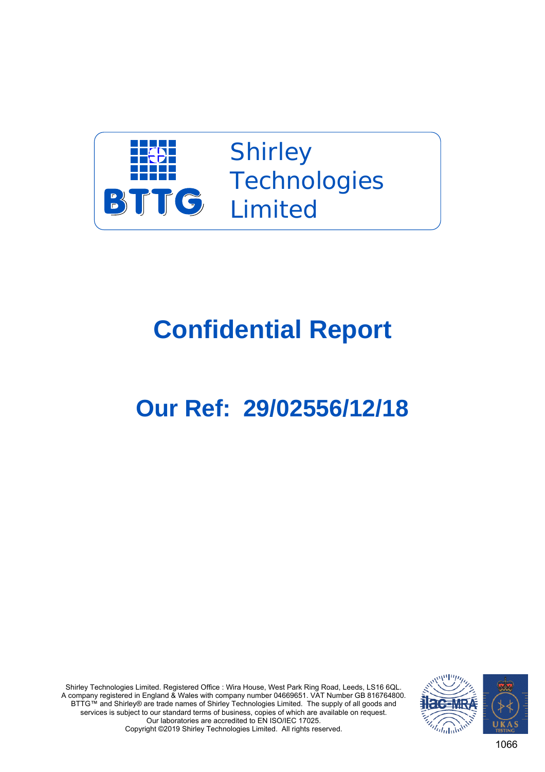

**Shirley Technologies** Limited

## **Confidential Report**

## **Our Ref: 29/02556/12/18**

Shirley Technologies Limited. Registered Office : Wira House, West Park Ring Road, Leeds, LS16 6QL. A company registered in England & Wales with company number 04669651. VAT Number GB 816764800. BTTG™ and Shirley® are trade names of Shirley Technologies Limited. The supply of all goods and services is subject to our standard terms of business, copies of which are available on request. Our laboratories are accredited to EN ISO/IEC 17025. Copyright ©2019 Shirley Technologies Limited. All rights reserved.



1066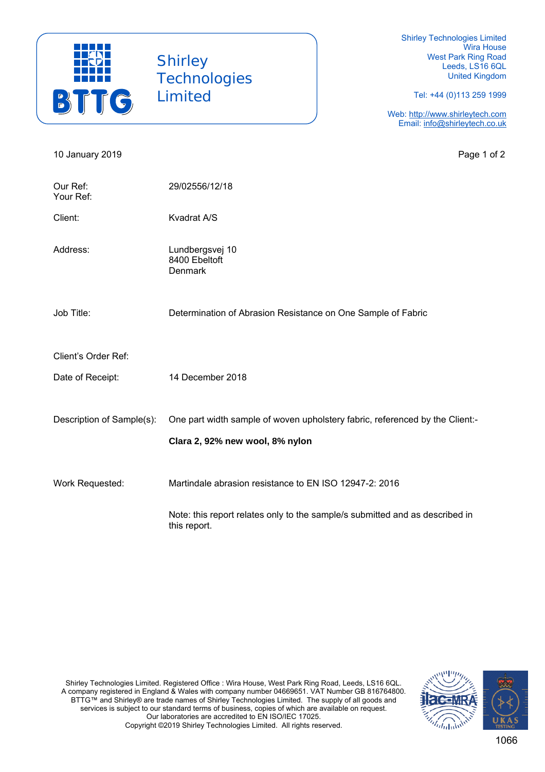

**Shirley Technologies** Limited

Shirley Technologies Limited Wira House West Park Ring Road Leeds, LS16 6QL United Kingdom

Tel: +44 (0)113 259 1999

Web: http://www.shirleytech.com Email: info@shirleytech.co.uk

10 January 2019 **Page 1 of 2** Page 1 of 2 Our Ref: 29/02556/12/18 Your Ref: Client: Kvadrat A/S Address: Lundbergsvej 10 8400 Ebeltoft Denmark Job Title: Determination of Abrasion Resistance on One Sample of Fabric Client's Order Ref: Date of Receipt: 14 December 2018 Description of Sample(s): One part width sample of woven upholstery fabric, referenced by the Client:- **Clara 2, 92% new wool, 8% nylon** Work Requested: Martindale abrasion resistance to EN ISO 12947-2: 2016 Note: this report relates only to the sample/s submitted and as described in this report.